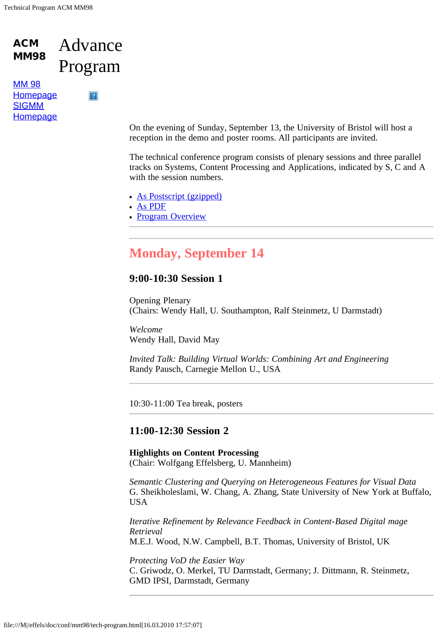#### ACM MM98 Advance Program

 $\overline{?}$ 

[MM 98](file:///M|/effels/doc/conf/mm98/index.html) **[Homepage](file:///M|/effels/doc/conf/mm98/index.html) [SIGMM](http://www.acm.org/sigmm/) [Homepage](http://www.acm.org/sigmm/)** 

> On the evening of Sunday, September 13, the University of Bristol will host a reception in the demo and poster rooms. All participants are invited.

The technical conference program consists of plenary sessions and three parallel tracks on Systems, Content Processing and Applications, indicated by S, C and A with the session numbers.

- [As Postscript \(gzipped\)](file:///M|/effels/doc/conf/mm98/advance-program.ps.gz)
- [As PDF](file:///M|/effels/doc/conf/mm98/advance-program.pdf)
- [Program Overview](file:///M|/effels/doc/conf/mm98/Images/acmProgOV-1.gif)

## **Monday, September 14**

### **9:00-10:30 Session 1**

Opening Plenary (Chairs: Wendy Hall, U. Southampton, Ralf Steinmetz, U Darmstadt)

*Welcome* Wendy Hall, David May

*Invited Talk: Building Virtual Worlds: Combining Art and Engineering* Randy Pausch, Carnegie Mellon U., USA

10:30-11:00 Tea break, posters

## **11:00-12:30 Session 2**

#### **Highlights on Content Processing** (Chair: Wolfgang Effelsberg, U. Mannheim)

*Semantic Clustering and Querying on Heterogeneous Features for Visual Data* G. Sheikholeslami, W. Chang, A. Zhang, State University of New York at Buffalo, USA

*Iterative Refinement by Relevance Feedback in Content-Based Digital mage Retrieval* M.E.J. Wood, N.W. Campbell, B.T. Thomas, University of Bristol, UK

*Protecting VoD the Easier Way* C. Griwodz, O. Merkel, TU Darmstadt, Germany; J. Dittmann, R. Steinmetz, GMD IPSI, Darmstadt, Germany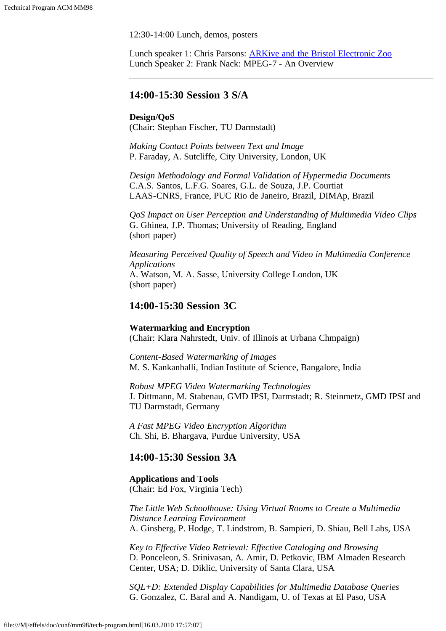12:30-14:00 Lunch, demos, posters

Lunch speaker 1: Chris Parsons: [ARKive and the Bristol Electronic Zoo](file:///M|/effels/doc/conf/mm98/zoo.html) Lunch Speaker 2: Frank Nack: MPEG-7 - An Overview

#### **14:00-15:30 Session 3 S/A**

#### **Design/QoS**

(Chair: Stephan Fischer, TU Darmstadt)

*Making Contact Points between Text and Image* P. Faraday, A. Sutcliffe, City University, London, UK

*Design Methodology and Formal Validation of Hypermedia Documents* C.A.S. Santos, L.F.G. Soares, G.L. de Souza, J.P. Courtiat LAAS-CNRS, France, PUC Rio de Janeiro, Brazil, DIMAp, Brazil

*QoS Impact on User Perception and Understanding of Multimedia Video Clips* G. Ghinea, J.P. Thomas; University of Reading, England (short paper)

*Measuring Perceived Quality of Speech and Video in Multimedia Conference Applications* A. Watson, M. A. Sasse, University College London, UK (short paper)

#### **14:00-15:30 Session 3C**

#### **Watermarking and Encryption**

(Chair: Klara Nahrstedt, Univ. of Illinois at Urbana Chmpaign)

*Content-Based Watermarking of Images* M. S. Kankanhalli, Indian Institute of Science, Bangalore, India

*Robust MPEG Video Watermarking Technologies* J. Dittmann, M. Stabenau, GMD IPSI, Darmstadt; R. Steinmetz, GMD IPSI and TU Darmstadt, Germany

*A Fast MPEG Video Encryption Algorithm* Ch. Shi, B. Bhargava, Purdue University, USA

## **14:00-15:30 Session 3A**

**Applications and Tools** (Chair: Ed Fox, Virginia Tech)

*The Little Web Schoolhouse: Using Virtual Rooms to Create a Multimedia Distance Learning Environment* A. Ginsberg, P. Hodge, T. Lindstrom, B. Sampieri, D. Shiau, Bell Labs, USA

*Key to Effective Video Retrieval: Effective Cataloging and Browsing* D. Ponceleon, S. Srinivasan, A. Amir, D. Petkovic, IBM Almaden Research Center, USA; D. Diklic, University of Santa Clara, USA

*SQL+D: Extended Display Capabilities for Multimedia Database Queries* G. Gonzalez, C. Baral and A. Nandigam, U. of Texas at El Paso, USA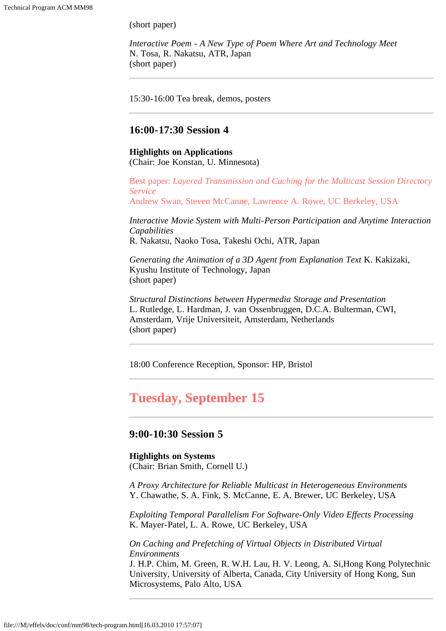(short paper)

*Interactive Poem - A New Type of Poem Where Art and Technology Meet* N. Tosa, R. Nakatsu, ATR, Japan (short paper)

15:30-16:00 Tea break, demos, posters

## **16:00-17:30 Session 4**

# **Highlights on Applications**

(Chair: Joe Konstan, U. Minnesota)

Best paper: *Layered Transmission and Caching for the Multicast Session Directory Service* Andrew Swan, Steven McCanne, Lawrence A. Rowe, UC Berkeley, USA

*Interactive Movie System with Multi-Person Participation and Anytime Interaction*

*Capabilities* R. Nakatsu, Naoko Tosa, Takeshi Ochi, ATR, Japan

*Generating the Animation of a 3D Agent from Explanation Text* K. Kakizaki, Kyushu Institute of Technology, Japan (short paper)

*Structural Distinctions between Hypermedia Storage and Presentation* L. Rutledge, L. Hardman, J. van Ossenbruggen, D.C.A. Bulterman, CWI, Amsterdam, Vrije Universiteit, Amsterdam, Netherlands (short paper)

18:00 Conference Reception, Sponsor: HP, Bristol

## **Tuesday, September 15**

### **9:00-10:30 Session 5**

## **Highlights on Systems**

(Chair: Brian Smith, Cornell U.)

*A Proxy Architecture for Reliable Multicast in Heterogeneous Environments* Y. Chawathe, S. A. Fink, S. McCanne, E. A. Brewer, UC Berkeley, USA

*Exploiting Temporal Parallelism For Software-Only Video Effects Processing* K. Mayer-Patel, L. A. Rowe, UC Berkeley, USA

*On Caching and Prefetching of Virtual Objects in Distributed Virtual Environments*

J. H.P. Chim, M. Green, R. W.H. Lau, H. V. Leong, A. Si,Hong Kong Polytechnic University, University of Alberta, Canada, City University of Hong Kong, Sun Microsystems, Palo Alto, USA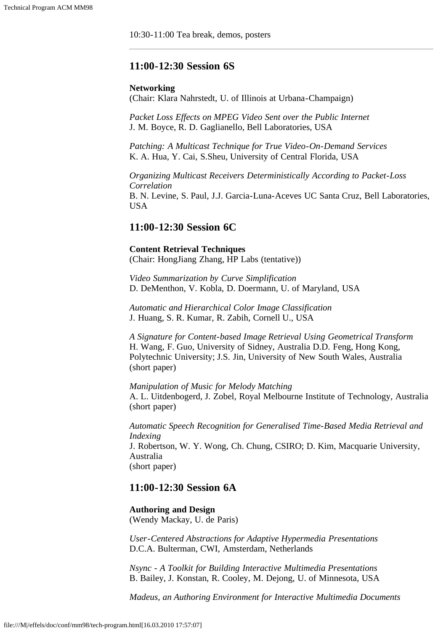10:30-11:00 Tea break, demos, posters

## **11:00-12:30 Session 6S**

#### **Networking**

(Chair: Klara Nahrstedt, U. of Illinois at Urbana-Champaign)

*Packet Loss Effects on MPEG Video Sent over the Public Internet* J. M. Boyce, R. D. Gaglianello, Bell Laboratories, USA

*Patching: A Multicast Technique for True Video-On-Demand Services* K. A. Hua, Y. Cai, S.Sheu, University of Central Florida, USA

*Organizing Multicast Receivers Deterministically According to Packet-Loss Correlation* B. N. Levine, S. Paul, J.J. Garcia-Luna-Aceves UC Santa Cruz, Bell Laboratories, USA

#### **11:00-12:30 Session 6C**

#### **Content Retrieval Techniques**

(Chair: HongJiang Zhang, HP Labs (tentative))

*Video Summarization by Curve Simplification* D. DeMenthon, V. Kobla, D. Doermann, U. of Maryland, USA

*Automatic and Hierarchical Color Image Classification* J. Huang, S. R. Kumar, R. Zabih, Cornell U., USA

*A Signature for Content-based Image Retrieval Using Geometrical Transform* H. Wang, F. Guo, University of Sidney, Australia D.D. Feng, Hong Kong, Polytechnic University; J.S. Jin, University of New South Wales, Australia (short paper)

*Manipulation of Music for Melody Matching* A. L. Uitdenbogerd, J. Zobel, Royal Melbourne Institute of Technology, Australia (short paper)

*Automatic Speech Recognition for Generalised Time-Based Media Retrieval and Indexing* J. Robertson, W. Y. Wong, Ch. Chung, CSIRO; D. Kim, Macquarie University, Australia (short paper)

## **11:00-12:30 Session 6A**

**Authoring and Design** (Wendy Mackay, U. de Paris)

*User-Centered Abstractions for Adaptive Hypermedia Presentations* D.C.A. Bulterman, CWI, Amsterdam, Netherlands

*Nsync - A Toolkit for Building Interactive Multimedia Presentations* B. Bailey, J. Konstan, R. Cooley, M. Dejong, U. of Minnesota, USA

*Madeus, an Authoring Environment for Interactive Multimedia Documents*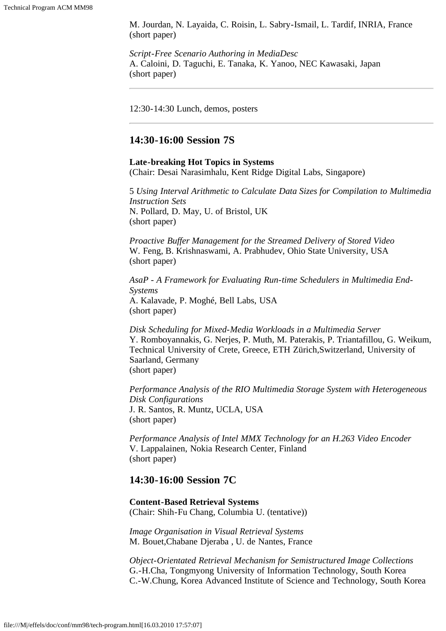M. Jourdan, N. Layaida, C. Roisin, L. Sabry-Ismail, L. Tardif, INRIA, France (short paper)

*Script-Free Scenario Authoring in MediaDesc* A. Caloini, D. Taguchi, E. Tanaka, K. Yanoo, NEC Kawasaki, Japan (short paper)

12:30-14:30 Lunch, demos, posters

#### **14:30-16:00 Session 7S**

#### **Late-breaking Hot Topics in Systems**

(Chair: Desai Narasimhalu, Kent Ridge Digital Labs, Singapore)

5 *Using Interval Arithmetic to Calculate Data Sizes for Compilation to Multimedia Instruction Sets* N. Pollard, D. May, U. of Bristol, UK (short paper)

*Proactive Buffer Management for the Streamed Delivery of Stored Video* W. Feng, B. Krishnaswami, A. Prabhudev, Ohio State University, USA (short paper)

*AsaP - A Framework for Evaluating Run-time Schedulers in Multimedia End-Systems* A. Kalavade, P. Moghé, Bell Labs, USA (short paper)

*Disk Scheduling for Mixed-Media Workloads in a Multimedia Server* Y. Romboyannakis, G. Nerjes, P. Muth, M. Paterakis, P. Triantafillou, G. Weikum, Technical University of Crete, Greece, ETH Zürich,Switzerland, University of Saarland, Germany (short paper)

*Performance Analysis of the RIO Multimedia Storage System with Heterogeneous Disk Configurations* J. R. Santos, R. Muntz, UCLA, USA (short paper)

*Performance Analysis of Intel MMX Technology for an H.263 Video Encoder* V. Lappalainen, Nokia Research Center, Finland (short paper)

## **14:30-16:00 Session 7C**

**Content-Based Retrieval Systems** (Chair: Shih-Fu Chang, Columbia U. (tentative))

*Image Organisation in Visual Retrieval Systems* M. Bouet,Chabane Djeraba , U. de Nantes, France

*Object-Orientated Retrieval Mechanism for Semistructured Image Collections* G.-H.Cha, Tongmyong University of Information Technology, South Korea C.-W.Chung, Korea Advanced Institute of Science and Technology, South Korea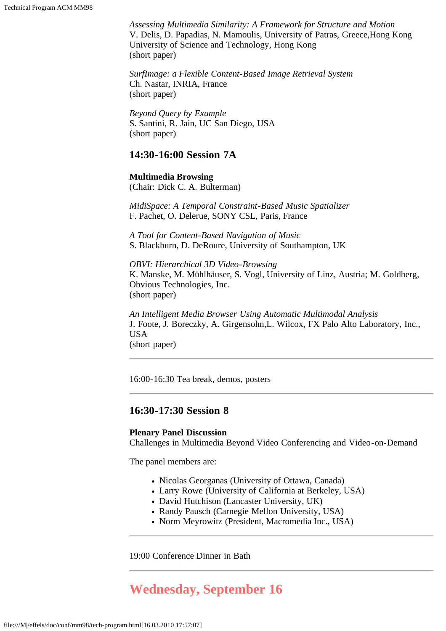*Assessing Multimedia Similarity: A Framework for Structure and Motion* V. Delis, D. Papadias, N. Mamoulis, University of Patras, Greece,Hong Kong University of Science and Technology, Hong Kong (short paper)

*SurfImage: a Flexible Content-Based Image Retrieval System* Ch. Nastar, INRIA, France (short paper)

*Beyond Query by Example* S. Santini, R. Jain, UC San Diego, USA (short paper)

#### **14:30-16:00 Session 7A**

**Multimedia Browsing** (Chair: Dick C. A. Bulterman)

*MidiSpace: A Temporal Constraint-Based Music Spatializer* F. Pachet, O. Delerue, SONY CSL, Paris, France

*A Tool for Content-Based Navigation of Music* S. Blackburn, D. DeRoure, University of Southampton, UK

*OBVI: Hierarchical 3D Video-Browsing* K. Manske, M. Mühlhäuser, S. Vogl, University of Linz, Austria; M. Goldberg, Obvious Technologies, Inc. (short paper)

*An Intelligent Media Browser Using Automatic Multimodal Analysis* J. Foote, J. Boreczky, A. Girgensohn,L. Wilcox, FX Palo Alto Laboratory, Inc., USA (short paper)

16:00-16:30 Tea break, demos, posters

## **16:30-17:30 Session 8**

#### **Plenary Panel Discussion**

Challenges in Multimedia Beyond Video Conferencing and Video-on-Demand

The panel members are:

- Nicolas Georganas (University of Ottawa, Canada)
- Larry Rowe (University of California at Berkeley, USA)
- David Hutchison (Lancaster University, UK)
- Randy Pausch (Carnegie Mellon University, USA)
- Norm Meyrowitz (President, Macromedia Inc., USA)

19:00 Conference Dinner in Bath

## **Wednesday, September 16**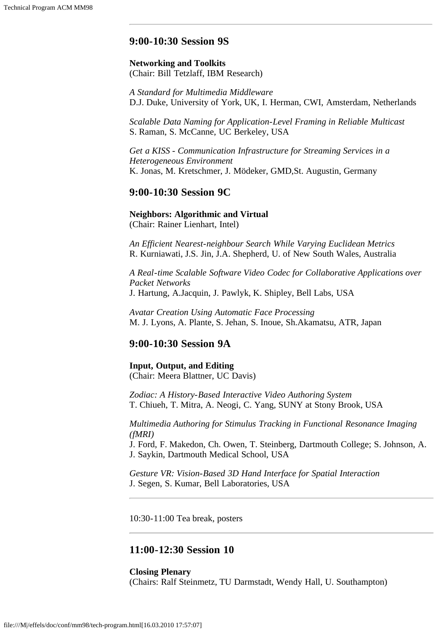## **9:00-10:30 Session 9S**

#### **Networking and Toolkits** (Chair: Bill Tetzlaff, IBM Research)

*A Standard for Multimedia Middleware* D.J. Duke, University of York, UK, I. Herman, CWI, Amsterdam, Netherlands

*Scalable Data Naming for Application-Level Framing in Reliable Multicast* S. Raman, S. McCanne, UC Berkeley, USA

*Get a KISS - Communication Infrastructure for Streaming Services in a Heterogeneous Environment* K. Jonas, M. Kretschmer, J. Mödeker, GMD,St. Augustin, Germany

#### **9:00-10:30 Session 9C**

**Neighbors: Algorithmic and Virtual** (Chair: Rainer Lienhart, Intel)

*An Efficient Nearest-neighbour Search While Varying Euclidean Metrics* R. Kurniawati, J.S. Jin, J.A. Shepherd, U. of New South Wales, Australia

*A Real-time Scalable Software Video Codec for Collaborative Applications over Packet Networks* J. Hartung, A.Jacquin, J. Pawlyk, K. Shipley, Bell Labs, USA

*Avatar Creation Using Automatic Face Processing* M. J. Lyons, A. Plante, S. Jehan, S. Inoue, Sh.Akamatsu, ATR, Japan

#### **9:00-10:30 Session 9A**

**Input, Output, and Editing** (Chair: Meera Blattner, UC Davis)

*Zodiac: A History-Based Interactive Video Authoring System* T. Chiueh, T. Mitra, A. Neogi, C. Yang, SUNY at Stony Brook, USA

*Multimedia Authoring for Stimulus Tracking in Functional Resonance Imaging (fMRI)*

J. Ford, F. Makedon, Ch. Owen, T. Steinberg, Dartmouth College; S. Johnson, A. J. Saykin, Dartmouth Medical School, USA

*Gesture VR: Vision-Based 3D Hand Interface for Spatial Interaction* J. Segen, S. Kumar, Bell Laboratories, USA

10:30-11:00 Tea break, posters

## **11:00-12:30 Session 10**

**Closing Plenary** (Chairs: Ralf Steinmetz, TU Darmstadt, Wendy Hall, U. Southampton)